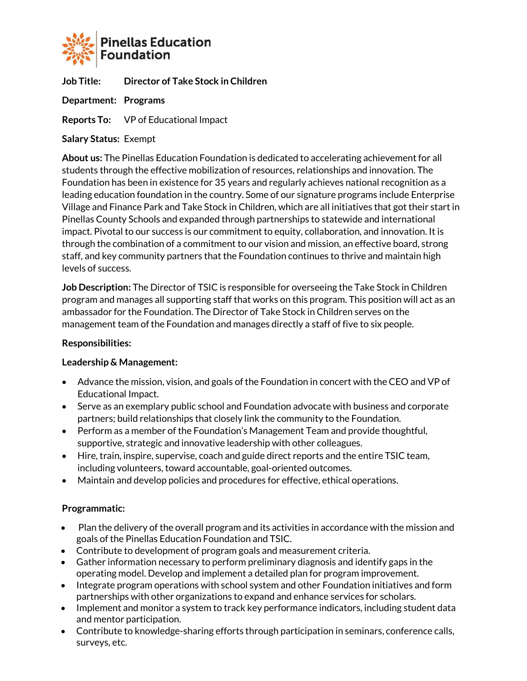

**Job Title: Director of Take Stock in Children**

**Department: Programs**

**Reports To:** VP of Educational Impact

**Salary Status:** Exempt

**About us:** The Pinellas Education Foundation is dedicated to accelerating achievement for all students through the effective mobilization of resources, relationships and innovation. The Foundation has been in existence for 35 years and regularly achieves national recognition as a leading education foundation in the country. Some of our signature programs include Enterprise Village and Finance Park and Take Stock in Children, which are all initiatives that got their start in Pinellas County Schools and expanded through partnerships to statewide and international impact. Pivotal to our success is our commitment to equity, collaboration, and innovation. It is through the combination of a commitment to our vision and mission, an effective board, strong staff, and key community partners that the Foundation continues to thrive and maintain high levels of success.

**Job Description:** The Director of TSIC is responsible for overseeing the Take Stock in Children program and manages all supporting staff that works on this program. This position will act as an ambassador for the Foundation. The Director of Take Stock in Children serves on the management team of the Foundation and manages directly a staff of five to six people.

## **Responsibilities:**

## **Leadership & Management:**

- Advance the mission, vision, and goals of the Foundation in concert with the CEO and VP of Educational Impact.
- Serve as an exemplary public school and Foundation advocate with business and corporate partners; build relationships that closely link the community to the Foundation.
- Perform as a member of the Foundation's Management Team and provide thoughtful, supportive, strategic and innovative leadership with other colleagues.
- Hire, train, inspire, supervise, coach and guide direct reports and the entire TSIC team, including volunteers, toward accountable, goal-oriented outcomes.
- Maintain and develop policies and procedures for effective, ethical operations.

## **Programmatic:**

- Plan the delivery of the overall program and its activities in accordance with the mission and goals of the Pinellas Education Foundation and TSIC.
- Contribute to development of program goals and measurement criteria.
- Gather information necessary to perform preliminary diagnosis and identify gaps in the operating model. Develop and implement a detailed plan for program improvement.
- Integrate program operations with school system and other Foundation initiatives and form partnerships with other organizations to expand and enhance services for scholars.
- Implement and monitor a system to track key performance indicators, including student data and mentor participation.
- Contribute to knowledge-sharing efforts through participation in seminars, conference calls, surveys, etc.